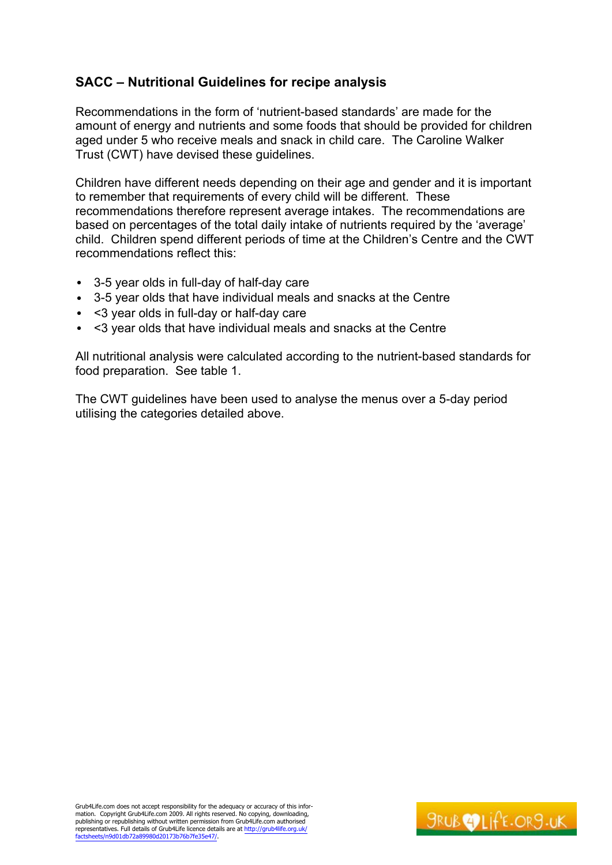# **SACC ± Nutritional Guidelines for recipe analysis**

Recommendations in the form of 'nutrient-based standards' are made for the amount of energy and nutrients and some foods that should be provided for children aged under 5 who receive meals and snack in child care. The Caroline Walker Trust (CWT) have devised these guidelines.

Children have different needs depending on their age and gender and it is important to remember that requirements of every child will be different. These recommendations therefore represent average intakes. The recommendations are based on percentages of the total daily intake of nutrients required by the 'average' child. Children spend different periods of time at the Children's Centre and the CWT recommendations reflect this:

- 3-5 year olds in full-day of half-day care
- 3-5 year olds that have individual meals and snacks at the Centre
- <3 year olds in full-day or half-day care
- <3 year olds that have individual meals and snacks at the Centre

All nutritional analysis were calculated according to the nutrient-based standards for food preparation. See table 1.

The CWT guidelines have been used to analyse the menus over a 5-day period utilising the categories detailed above.

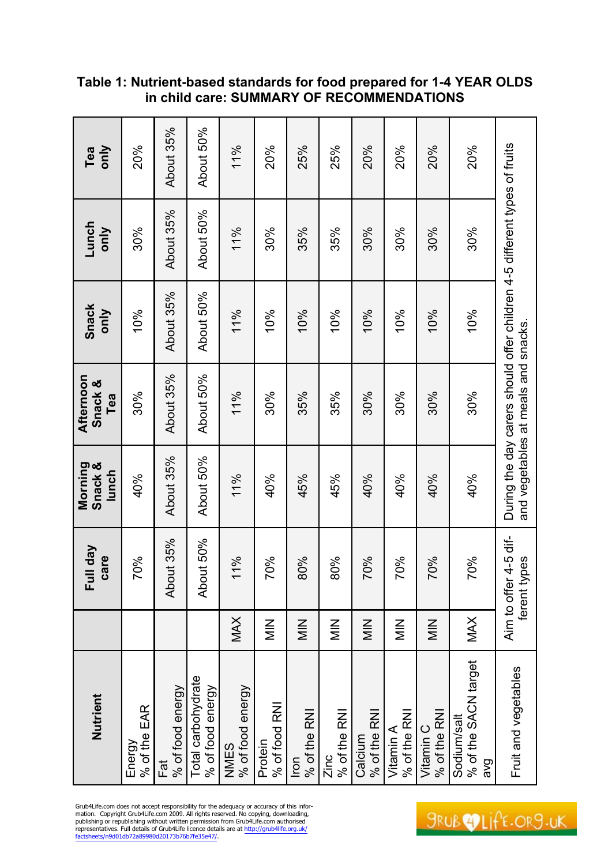| Nutrient                                        |                     | Full day<br>care                          | Morning<br>Snack &<br>lunch | Afternoon<br>Snack &<br>Tea         | <b>Snack</b><br>only                                                      | Lunch<br>only | only<br>Tea |
|-------------------------------------------------|---------------------|-------------------------------------------|-----------------------------|-------------------------------------|---------------------------------------------------------------------------|---------------|-------------|
| % of the EAR<br>Energy                          |                     | 70%                                       | 40%                         | 30%                                 | 10%                                                                       | 30%           | 20%         |
| % of food energy<br>Fat                         |                     | About 35%                                 | About 35%                   | About 35%                           | About 35%                                                                 | About 35%     | About 35%   |
| Total carbohydrate<br>% of food energy          |                     | About 50%                                 | About 50%                   | About 50%                           | About 50%                                                                 | About 50%     | About 50%   |
| % of food energy<br>NNES                        | <b>MAX</b>          | 11%                                       | 11%                         | 11%                                 | 11%                                                                       | 11%           | 11%         |
| % of food RNI<br>Protein                        | $\frac{Z}{\sum}$    | 70%                                       | 40%                         | 30%                                 | 10%                                                                       | 30%           | <b>20%</b>  |
| % of the RNI<br>$\overline{100}$                | $\frac{Z}{\Sigma}$  | 80%                                       | 45%                         | 35%                                 | 10%                                                                       | 35%           | 25%         |
| % of the RNI<br>Zinc                            | $\frac{Z}{\sum}$    | 80%                                       | 45%                         | 35%                                 | 10%                                                                       | 35%           | 25%         |
| % of the RNI<br>Calcium                         | $\frac{Z}{Z}$       | 70%                                       | 40%                         | 30%                                 | 10%                                                                       | 30%           | 20%         |
| % of the RNI<br>Vitamin A                       | $\frac{Z}{\bar{Z}}$ | 70%                                       | 40%                         | 30%                                 | 10%                                                                       | 30%           | 20%         |
| % of the RNI<br>Vitamin C                       | $\frac{Z}{Z}$       | 70%                                       | 40%                         | 30%                                 | 10%                                                                       | 30%           | 20%         |
| % of the SACN target<br>Sodium/salt<br><b>B</b> | MAX                 | 70%                                       | 40%                         | 30%                                 | 10%                                                                       | 30%           | 20%         |
| Fruit and vegetables                            |                     | Aim to offer 4-5 dif-<br>pes<br>ferent ty |                             | and vegetables at meals and snacks. | During the day carers should offer children 4-5 different types of fruits |               |             |

## **Table 1: Nutrient-based standards for food prepared for 1-4 YEAR OLDS in child care: SUMMARY OF RECOMMENDATIONS**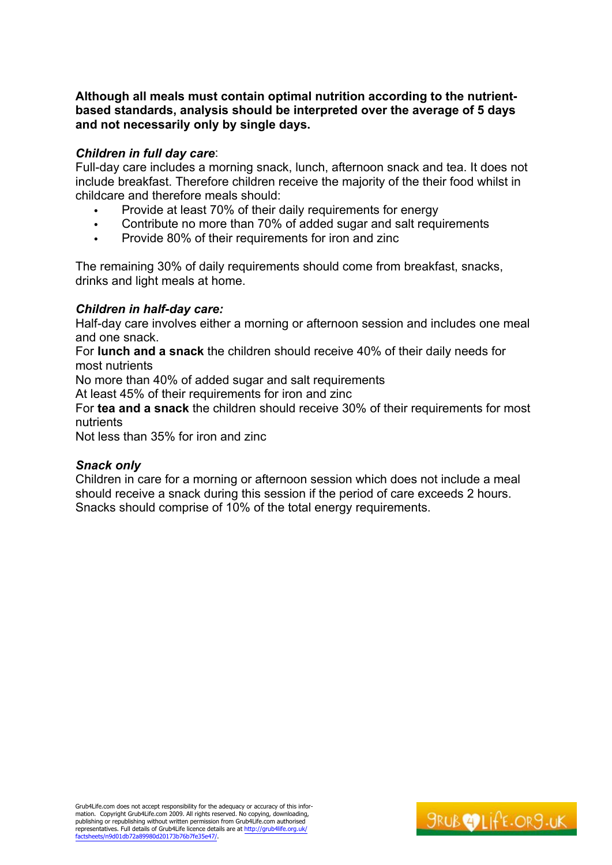## **Although all meals must contain optimal nutrition according to the nutrientbased standards, analysis should be interpreted over the average of 5 days and not necessarily only by single days.**

## *Children in full day care*:

Full-day care includes a morning snack, lunch, afternoon snack and tea. It does not include breakfast. Therefore children receive the majority of the their food whilst in childcare and therefore meals should:

- Provide at least 70% of their daily requirements for energy
- Contribute no more than 70% of added sugar and salt requirements
- Provide 80% of their requirements for iron and zinc

The remaining 30% of daily requirements should come from breakfast, snacks, drinks and light meals at home.

## *Children in half-day care:*

Half-day care involves either a morning or afternoon session and includes one meal and one snack.

For **lunch and a snack** the children should receive 40% of their daily needs for most nutrients

No more than 40% of added sugar and salt requirements

At least 45% of their requirements for iron and zinc

For **tea and a snack** the children should receive 30% of their requirements for most nutrients

Not less than 35% for iron and zinc

## *Snack only*

Children in care for a morning or afternoon session which does not include a meal should receive a snack during this session if the period of care exceeds 2 hours. Snacks should comprise of 10% of the total energy requirements.

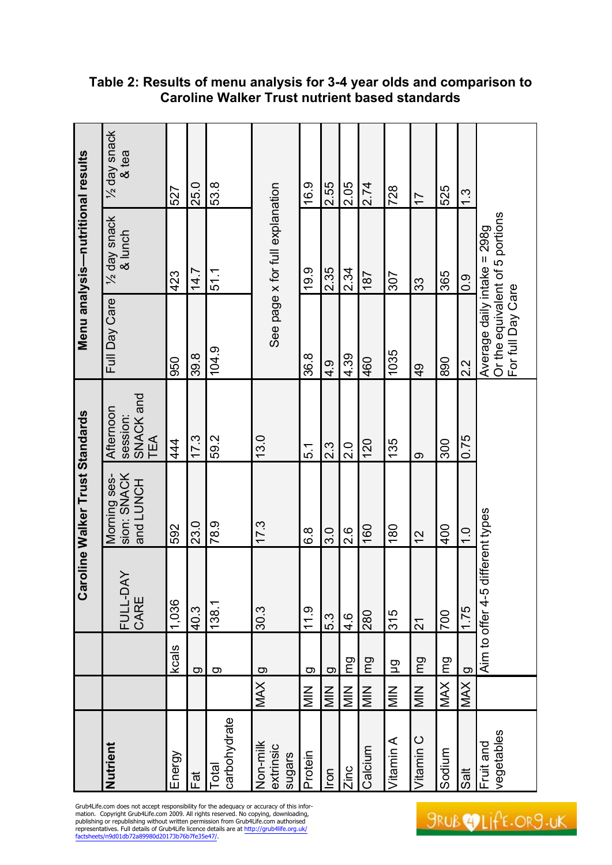|                                   | 1/2 day snack<br>& tea                    | 527     | 25.0 | 53.8                  |                                 | 16.9          | 2.55               | 2.05               | 2.74    | 728                | $\overline{1}$  | 525        | $\frac{3}{2}$     |                                                                                     |
|-----------------------------------|-------------------------------------------|---------|------|-----------------------|---------------------------------|---------------|--------------------|--------------------|---------|--------------------|-----------------|------------|-------------------|-------------------------------------------------------------------------------------|
| Menu analysis-nutritional results | 1/2 day snack<br>& lunch                  | 423     | 14.7 | 51.1                  | See page x for full explanation | 19.9          | 2.35               | 2.34               | 187     | 307                | 33              | 365        | $\overline{0}$ .0 |                                                                                     |
|                                   | Full Day Care                             | 950     | 39.8 | 104.9                 |                                 | 36.8          | $\frac{4}{3}$      | 4.39               | 460     | 1035               | $\frac{1}{2}$   | 890        | 2.2               | Or the equivalent of 5 portions<br>Average daily intake = 298q<br>For full Day Care |
|                                   | session:<br>SNACK and<br>TEA<br>Afternoon | 44<br>4 | 17.3 | 59.2                  | 13.0                            | 5.1           | $2.\overline{3}$   | $\frac{0}{2}$      | 120     | 135                | တ               | 300        | 0.75              |                                                                                     |
| Caroline Walker Trust Standards   | sion: SNACK<br>Morning ses-<br>and LUNCH  | 592     | 23.0 | 8.9                   | 17.3                            | 8.9           | ე<br>ვ             | $\frac{8}{2}$      | 160     | 180                | $\frac{2}{3}$   | 400        | $\frac{0}{1}$     | different types                                                                     |
|                                   | ΧŃ<br>FULL-D<br>CARE                      | 1,036   | 40.3 | 138.1                 | 30.3                            | 11.9          | 5.3                | $\frac{4.6}{4}$    | 280     | 315                | $\overline{21}$ | <b>DOZ</b> | 1.75              | Aim to offer 4-5                                                                    |
|                                   |                                           | kcals   | ဝာ   | g                     | $\overline{O}$                  | g             | g                  | pu                 | pu      | $\Xi$              | pu              | lmg        | $\overline{a}$    |                                                                                     |
|                                   |                                           |         |      |                       | MAX                             | $\frac{Z}{Z}$ | $\frac{Z}{\Sigma}$ | $\frac{Z}{\Sigma}$ | MIN     | $\frac{Z}{\Sigma}$ | $\frac{Z}{Z}$   | <b>MAX</b> | <b>XYM</b>        |                                                                                     |
|                                   | Nutrient                                  | Energy  | Fat  | carbohydrate<br>Total | Non-milk<br>extrinsic<br>sugars | Protein       | <u>Fon</u>         | Zinc               | Calcium | Vitamin A          | Vitamin C       | Sodium     | Salt              | vegetables<br>Fruit and                                                             |

## **Table 2: Results of menu analysis for 3-4 year olds and comparison to Caroline Walker Trust nutrient based standards**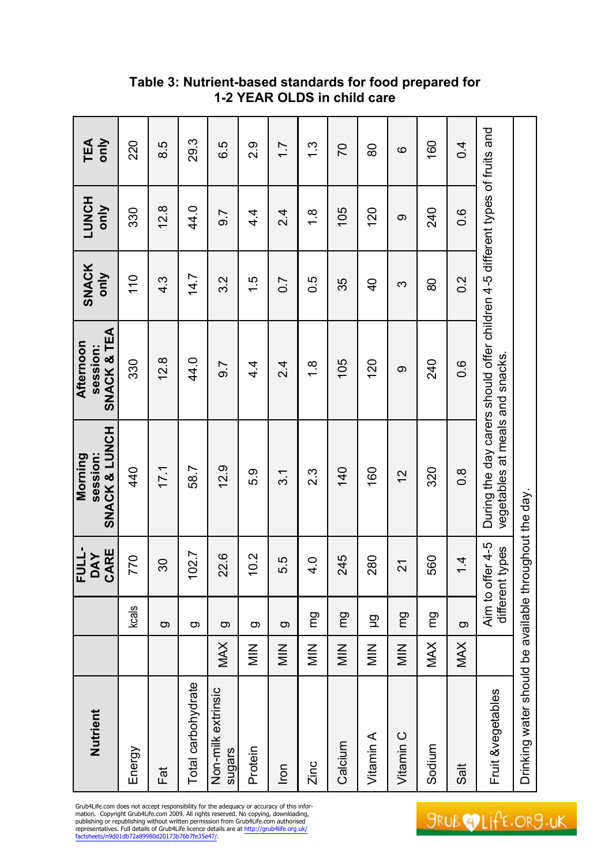| Nutrient                                               |                  |           | <b>FULL-</b><br>CARE<br><b>DAY</b>  | SNACK & LUNCH<br>session:<br>Morning                                                                             | SNACK & TEA<br>Afternoon<br>session: | <b>SNACK</b><br>only | <b>LUNCH</b><br>only | <b>TEA</b><br>only |
|--------------------------------------------------------|------------------|-----------|-------------------------------------|------------------------------------------------------------------------------------------------------------------|--------------------------------------|----------------------|----------------------|--------------------|
| Energy                                                 |                  | $k$ cals  | 770                                 | 40                                                                                                               | 330                                  | 110                  | 330                  | 220                |
| Fat                                                    |                  | $\sigma$  | 30                                  | 17.1                                                                                                             | 12.8                                 | $4.\overline{3}$     | 12.8                 | 8.5                |
| Total carbohydrate                                     |                  | တ         | 102.7                               | 58.7                                                                                                             | 44.0                                 | 14.7                 | 44.0                 | 29.3               |
| Non-milk extrinsic<br>sugars                           | <b>MAX</b>       | g         | 22.6                                | 12.9                                                                                                             | 9.7                                  | 3.2                  | 9.7                  | 6.5                |
| Protein                                                | $\frac{Z}{\sum}$ | g         | 10.2                                | 5.9                                                                                                              | 4.<br>4                              | $\frac{1}{1}$        | $4\overline{4}$      | 2.9                |
| $\overline{r}$                                         | $\frac{Z}{\sum}$ | g         | 5.5                                 | 3.1                                                                                                              | 2.4                                  | $\overline{0}$ .7    | 2.4                  | $\overline{1}$ .   |
| Zinc                                                   | $\frac{Z}{Z}$    | mg        | $\frac{4}{1}$                       | 2.3                                                                                                              | $\frac{8}{1}$                        | $0.\overline{5}$     | $\frac{8}{1}$        | $\frac{3}{1}$      |
| Calcium                                                | $\frac{Z}{Z}$    | pu        | 245                                 | $\frac{40}{3}$                                                                                                   | 105                                  | 35                   | 105                  | $\overline{C}$     |
| Vitamin A                                              | $\frac{Z}{Z}$    | 모         | 280                                 | 160                                                                                                              | 120                                  | $\frac{1}{4}$        | 120                  | 80                 |
| Vitamin C                                              | $\frac{Z}{Z}$    | <b>DU</b> | 21                                  | 12                                                                                                               | $\infty$                             | က                    | တ                    | $\circ$            |
| Sodium                                                 | <b>MAX</b>       | mg        | 560                                 | 320                                                                                                              | 240                                  | 80                   | 240                  | 160                |
| Sait                                                   | <b>MAX</b>       | g         | $\frac{4}{4}$                       | $0.\overline{8}$                                                                                                 | 0.6                                  | $0.\overline{2}$     | 0.6                  | 0.4                |
| Fruit &vegetables                                      |                  |           | Aim to offer 4-5<br>different types | During the day carers should offer children 4-5 different types of fruits and<br>vegetables at meals and snacks. |                                      |                      |                      |                    |
| Drinking water should be available throughout the day. |                  |           |                                     |                                                                                                                  |                                      |                      |                      |                    |

**Table 3: Nutrient-based standards for food prepared for 1-2 YEAR OLDS in child care**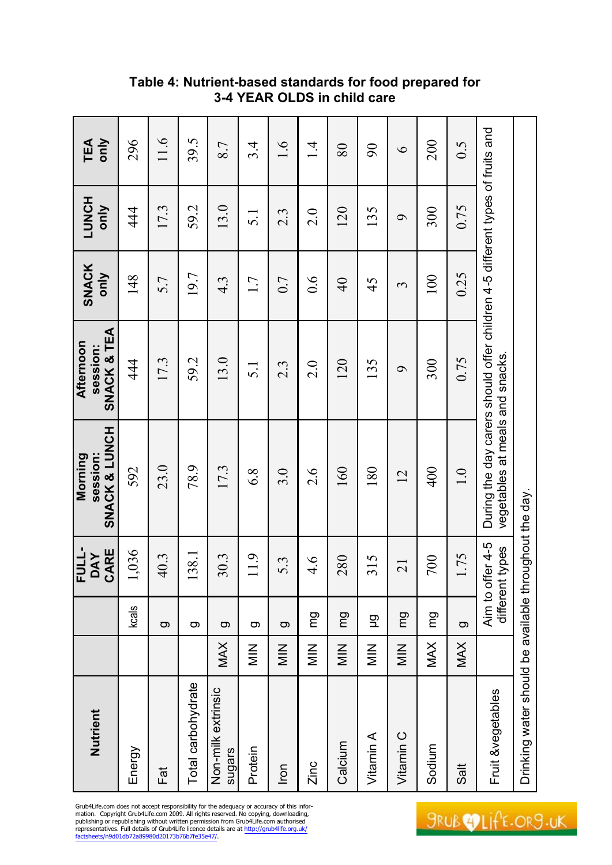| Nutrient                                               |                          |                        | FULL-<br>CARE<br><b>DAY</b> | SNACK & LUNCH<br>session:<br>Morning                                                                             | SNACK & TEA<br>Afternoon<br>session: | <b>SNACK</b><br>only | <b>LUNCH</b><br>only | only<br>TEA   |
|--------------------------------------------------------|--------------------------|------------------------|-----------------------------|------------------------------------------------------------------------------------------------------------------|--------------------------------------|----------------------|----------------------|---------------|
| Energy                                                 |                          | $k$ cals               | 1,036                       | 592                                                                                                              | 44                                   | 148                  | 44                   | 296           |
| Fat                                                    |                          | တ                      | 40.3                        | 23.0                                                                                                             | 17.3                                 | 5.7                  | 17.3                 | 11.6          |
| Total carbohydrate                                     |                          | g                      | 138.1                       | 78.9                                                                                                             | 59.2                                 | 19.7                 | 59.2                 | 39.5          |
| Non-milk extrinsic<br>sugars                           | <b>MAX</b>               | G                      | 30.3                        | 17.3                                                                                                             | 13.0                                 | $4.\overline{3}$     | 13.0                 | 8.7           |
| Protein                                                | $\frac{Z}{\overline{Z}}$ | g                      | 11.9                        | 6.8                                                                                                              | $\overline{5}.1$                     | 1.7                  | $\overline{5}$ .     | 3.4           |
| Iron                                                   | $\frac{Z}{\geq}$         | <u>ත</u>               | 5.3                         | 3.0                                                                                                              | $2.\overline{3}$                     | 0.7                  | $2.\overline{3}$     | $\frac{1}{6}$ |
| Zinc                                                   | $\frac{Z}{\Xi}$          | <b>DU</b>              | $\frac{4}{6}$               | 2.6                                                                                                              | $\frac{0}{2}$                        | $\overline{0.6}$     | 2.0                  | $\vec{v}$     |
| Calcium                                                | $\frac{Z}{\geq}$         | pu                     | 280                         | 160                                                                                                              | 120                                  | $\overline{40}$      | 120                  | 80            |
| Vitamin A                                              | $\frac{Z}{\geq}$         | 모                      | 315                         | 180                                                                                                              | 135                                  | 45                   | 135                  | 90            |
| Vitamin C                                              | $\frac{Z}{\overline{Z}}$ | <b>DU</b>              | $\overline{21}$             | 12                                                                                                               | $\sigma$                             | $\epsilon$           | $\sigma$             | $\circ$       |
| Sodium                                                 | MAX                      | mg                     | 700                         | 400                                                                                                              | 300                                  | 100                  | 300                  | 200           |
| Sait                                                   | MAX                      | g                      | 1.75                        | 1.0                                                                                                              | 0.75                                 | 0.25                 | 0.75                 | 0.5           |
| Fruit &vegetables                                      |                          | different<br>Aim to of | ffer 4-5<br>types           | During the day carers should offer children 4-5 different types of fruits and<br>vegetables at meals and snacks. |                                      |                      |                      |               |
| Drinking water should be available throughout the day. |                          |                        |                             |                                                                                                                  |                                      |                      |                      |               |

**Table 4: Nutrient-based standards for food prepared for 3-4 YEAR OLDS in child care**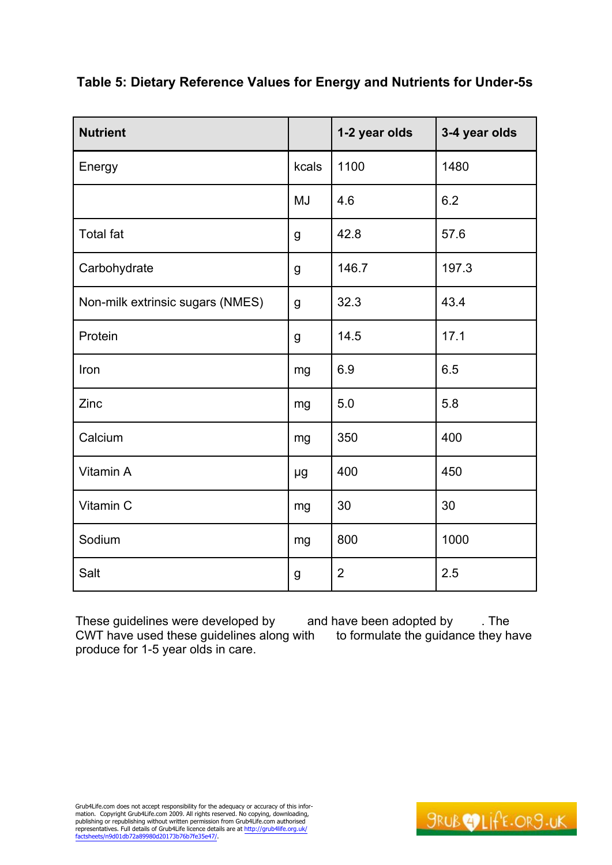| <b>Nutrient</b>                  |             | 1-2 year olds  | 3-4 year olds |
|----------------------------------|-------------|----------------|---------------|
| Energy                           | kcals       | 1100           | 1480          |
|                                  | <b>MJ</b>   | 4.6            | 6.2           |
| <b>Total fat</b>                 | g           | 42.8           | 57.6          |
| Carbohydrate                     | g           | 146.7          | 197.3         |
| Non-milk extrinsic sugars (NMES) | $\mathsf g$ | 32.3           | 43.4          |
| Protein                          | g           | 14.5           | 17.1          |
| Iron                             | mg          | 6.9            | 6.5           |
| Zinc                             | mg          | 5.0            | 5.8           |
| Calcium                          | mg          | 350            | 400           |
| Vitamin A                        | μg          | 400            | 450           |
| Vitamin C                        | mg          | 30             | 30            |
| Sodium                           | mg          | 800            | 1000          |
| Salt                             | g           | $\overline{2}$ | 2.5           |

## **Table 5: Dietary Reference Values for Energy and Nutrients for Under-5s**

These guidelines were developed by and have been adopted by . The CWT have used these guidelines along with to formulate the guidance they have produce for 1-5 year olds in care.

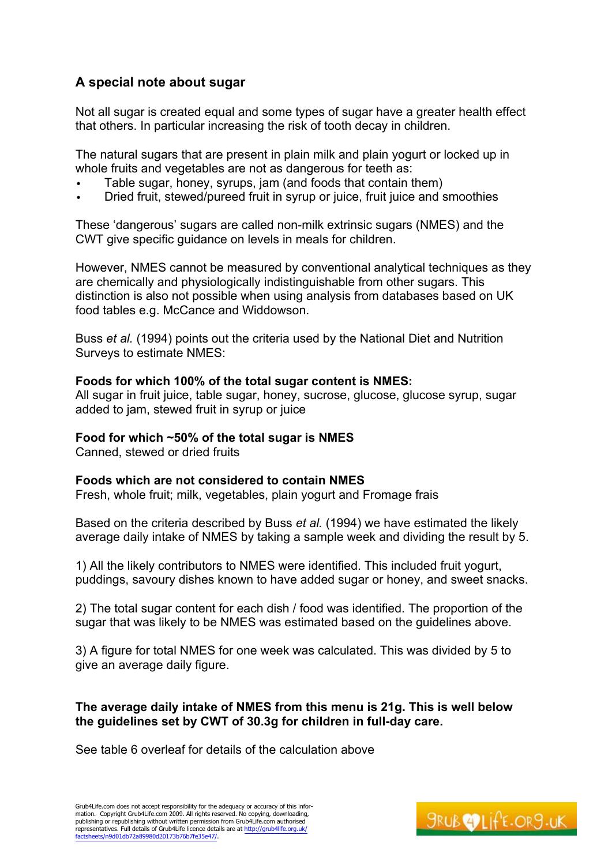# **A special note about sugar**

Not all sugar is created equal and some types of sugar have a greater health effect that others. In particular increasing the risk of tooth decay in children.

The natural sugars that are present in plain milk and plain yogurt or locked up in whole fruits and vegetables are not as dangerous for teeth as:

- Table sugar, honey, syrups, jam (and foods that contain them)
- Dried fruit, stewed/pureed fruit in syrup or juice, fruit juice and smoothies

These 'dangerous' sugars are called non-milk extrinsic sugars (NMES) and the CWT give specific guidance on levels in meals for children.

However, NMES cannot be measured by conventional analytical techniques as they are chemically and physiologically indistinguishable from other sugars. This distinction is also not possible when using analysis from databases based on UK food tables e.g. McCance and Widdowson.

Buss *et al.* (1994) points out the criteria used by the National Diet and Nutrition Surveys to estimate NMES:

## **Foods for which 100% of the total sugar content is NMES:**

All sugar in fruit juice, table sugar, honey, sucrose, glucose, glucose syrup, sugar added to jam, stewed fruit in syrup or juice

## **Food for which ~50% of the total sugar is NMES**

Canned, stewed or dried fruits

## **Foods which are not considered to contain NMES**

Fresh, whole fruit; milk, vegetables, plain yogurt and Fromage frais

Based on the criteria described by Buss *et al.* (1994) we have estimated the likely average daily intake of NMES by taking a sample week and dividing the result by 5.

1) All the likely contributors to NMES were identified. This included fruit yogurt, puddings, savoury dishes known to have added sugar or honey, and sweet snacks.

2) The total sugar content for each dish / food was identified. The proportion of the sugar that was likely to be NMES was estimated based on the guidelines above.

3) A figure for total NMES for one week was calculated. This was divided by 5 to give an average daily figure.

## **The average daily intake of NMES from this menu is 21g. This is well below the guidelines set by CWT of 30.3g for children in full-day care.**

See table 6 overleaf for details of the calculation above